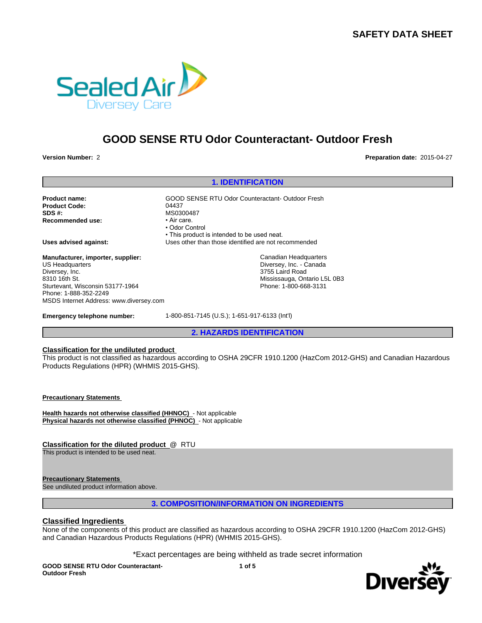# **SAFETY DATA SHEET**



# **GOOD SENSE RTU Odor Counteractant- Outdoor Fresh**

**Version Number:** 2 **Preparation date:** 2015-04-27

## **1. IDENTIFICATION**

Product Code: 04437 **SDS #:** MS0300487<br> **Recommended use:** Mair Care. **Recommended use:** 

**Product name:** GOOD SENSE RTU Odor Counteractant- Outdoor Fresh • Odor Control • This product is intended to be used neat. **Uses advised against:** Uses other than those identified are not recommended Canadian Headquarters

Diversey, Inc. - Canada 3755 Laird Road Mississauga, Ontario L5L 0B3 Phone: 1-800-668-3131

**Manufacturer, importer, supplier:** US Headquarters Diversey, Inc. 8310 16th St. Sturtevant, Wisconsin 53177-1964 Phone: 1-888-352-2249 MSDS Internet Address: www.diversey.com

**Emergency telephone number:** 1-800-851-7145 (U.S.); 1-651-917-6133 (Int'l)

**2. HAZARDS IDENTIFICATION**

## **Classification for the undiluted product**

This product is not classified as hazardous according to OSHA 29CFR 1910.1200 (HazCom 2012-GHS) and Canadian Hazardous Products Regulations (HPR) (WHMIS 2015-GHS).

**Precautionary Statements** 

**Health hazards not otherwise classified (HHNOC)** - Not applicable **Physical hazards not otherwise classified (PHNOC)** - Not applicable

**Classification for the diluted product** @ RTU

This product is intended to be used neat.

**Precautionary Statements** 

See undiluted product information above.

# **3. COMPOSITION/INFORMATION ON INGREDIENTS**

# **Classified Ingredients**

None of the components of this product are classified as hazardous according to OSHA 29CFR 1910.1200 (HazCom 2012-GHS) and Canadian Hazardous Products Regulations (HPR) (WHMIS 2015-GHS).

\*Exact percentages are being withheld as trade secret information

**GOOD SENSE RTU Odor Counteractant-Outdoor Fresh**

**1 of 5**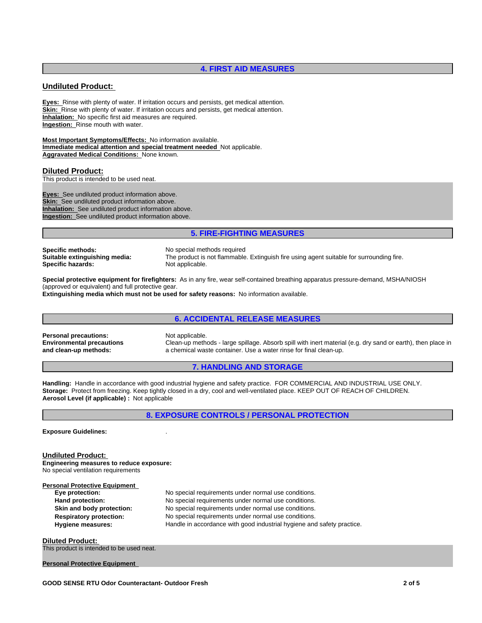# **4. FIRST AID MEASURES**

# **Undiluted Product:**

**Eyes:** Rinse with plenty of water. If irritation occurs and persists, get medical attention. **Skin:** Rinse with plenty of water. If irritation occurs and persists, get medical attention. **Inhalation:** No specific first aid measures are required. **Ingestion:** Rinse mouth with water.

**Most Important Symptoms/Effects:** No information available. **Immediate medical attention and special treatment needed** Not applicable. **Aggravated Medical Conditions:** None known.

#### **Diluted Product:**

This product is intended to be used neat.

**Eyes:** See undiluted product information above. **Skin:** See undiluted product information above. **Inhalation:** See undiluted product information above. **Ingestion:** See undiluted product information above.

# **5. FIRE-FIGHTING MEASURES**

**Specific methods:** No special methods required **Specific hazards:** 

**Suitable extinguishing media:** The product is not flammable. Extinguish fire using agent suitable for surrounding fire.

**Special protective equipment for firefighters:** As in any fire, wear self-contained breathing apparatus pressure-demand, MSHA/NIOSH (approved or equivalent) and full protective gear.

**Extinguishing media which must not be used for safety reasons:** No information available.

# **6. ACCIDENTAL RELEASE MEASURES**

**Personal precautions:** Not applicable. **Environmental precautions and clean-up methods:**

Clean-up methods - large spillage. Absorb spill with inert material (e.g. dry sand or earth), then place in a chemical waste container. Use a water rinse for final clean-up.

# **7. HANDLING AND STORAGE**

**Handling:** Handle in accordance with good industrial hygiene and safety practice. FOR COMMERCIAL AND INDUSTRIAL USE ONLY. **Storage:** Protect from freezing. Keep tightly closed in a dry, cool and well-ventilated place. KEEP OUT OF REACH OF CHILDREN. **Aerosol Level (if applicable) :** Not applicable

**8. EXPOSURE CONTROLS / PERSONAL PROTECTION**

**Exposure Guidelines:** .

#### **Undiluted Product:**

**Engineering measures to reduce exposure:** No special ventilation requirements

**Personal Protective Equipment**<br> **Eye protection: Eye protection:** No special requirements under normal use conditions. **Hand protection:** No special requirements under normal use conditions. **Skin and body protection:** No special requirements under normal use conditions. **Respiratory protection:** No special requirements under normal use conditions. **Hygiene measures:** Handle in accordance with good industrial hygiene and safety practice.

**Diluted Product:**  This product is intended to be used neat.

**Personal Protective Equipment**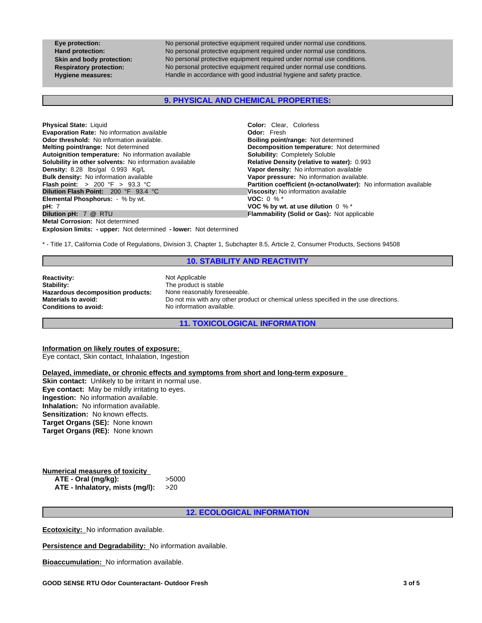**Eye protection:** No personal protective equipment required under normal use conditions. **Hand protection:** No personal protective equipment required under normal use conditions. **Skin and body protection:** No personal protective equipment required under normal use conditions. **Respiratory protection:** No personal protective equipment required under normal use conditions. **Hygiene measures:** Handle in accordance with good industrial hygiene and safety practice.

# **9. PHYSICAL AND CHEMICAL PROPERTIES:**

| <b>Physical State: Liquid</b>                                            | <b>Color:</b> Clear, Colorless                                    |
|--------------------------------------------------------------------------|-------------------------------------------------------------------|
| <b>Evaporation Rate: No information available</b>                        | <b>Odor:</b> Fresh                                                |
| <b>Odor threshold:</b> No information available.                         | <b>Boiling point/range: Not determined</b>                        |
| <b>Melting point/range: Not determined</b>                               | <b>Decomposition temperature:</b> Not determined                  |
| Autoignition temperature: No information available                       | <b>Solubility: Completely Soluble</b>                             |
| <b>Solubility in other solvents:</b> No information available            | Relative Density (relative to water): 0.993                       |
| Density: 8.28 lbs/gal 0.993 Kg/L                                         | Vapor density: No information available                           |
| <b>Bulk density:</b> No information available                            | Vapor pressure: No information available.                         |
| <b>Flash point:</b> $> 200 \, \text{°F} > 93.3 \, \text{°C}$             | Partition coefficient (n-octanol/water): No information available |
| <b>Dilution Flash Point: 200 °F 93.4 °C</b>                              | Viscosity: No information available                               |
| <b>Elemental Phosphorus:</b> - % by wt.                                  | <b>VOC:</b> 0 % $*$                                               |
| <b>pH</b> : 7                                                            | VOC % by wt. at use dilution $0\%$ *                              |
| Dilution pH: 7 @ RTU                                                     | <b>Flammability (Solid or Gas): Not applicable</b>                |
| <b>Metal Corrosion: Not determined</b>                                   |                                                                   |
| <b>Explosion limits: - upper:</b> Not determined - lower: Not determined |                                                                   |

\* - Title 17, California Code of Regulations, Division 3, Chapter 1, Subchapter 8.5, Article 2, Consumer Products, Sections 94508

#### **10. STABILITY AND REACTIVITY**

**Reactivity:** Not Applicable **Stability:** Not Applicable Stability: **Hazardous decomposition products:**<br>Materials to avoid: **Conditions to avoid:** No information available.

The product is stable<br>None reasonably foreseeable. Do not mix with any other product or chemical unless specified in the use directions.

**11. TOXICOLOGICAL INFORMATION**

#### **Information on likely routes of exposure:**

Eye contact, Skin contact, Inhalation, Ingestion

# **Delayed, immediate, or chronic effects and symptoms from short and long-term exposure**

**Skin contact:** Unlikely to be irritant in normal use. **Eye contact:** May be mildly irritating to eyes. **Ingestion:** No information available. **Inhalation:** No information available. **Sensitization:** No known effects. **Target Organs (SE):** None known **Target Organs (RE):** None known

#### **Numerical measures of toxicity**<br>**ATE - Oral (mg/kg):**  $>5000$ ATE - Oral (mg/kg): **ATE - Inhalatory, mists (mg/l):** >20

**12. ECOLOGICAL INFORMATION**

**Ecotoxicity:** No information available.

**Persistence and Degradability:** No information available.

**Bioaccumulation:** No information available.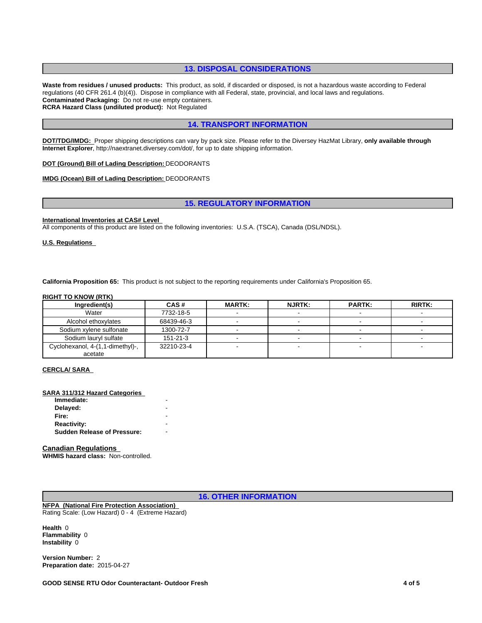# **13. DISPOSAL CONSIDERATIONS**

**Waste from residues / unused products:** This product, as sold, if discarded or disposed, is not a hazardous waste according to Federal regulations (40 CFR 261.4 (b)(4)). Dispose in compliance with all Federal, state, provincial, and local laws and regulations. **Contaminated Packaging:** Do not re-use empty containers. **RCRA Hazard Class (undiluted product):** Not Regulated

# **14. TRANSPORT INFORMATION**

**DOT/TDG/IMDG:** Proper shipping descriptions can vary by pack size. Please refer to the Diversey HazMat Library, **only available through Internet Explorer**, http://naextranet.diversey.com/dot/, for up to date shipping information.

#### **DOT (Ground) Bill of Lading Description:** DEODORANTS

#### **IMDG (Ocean) Bill of Lading Description:** DEODORANTS

# **15. REGULATORY INFORMATION**

#### **International Inventories at CAS# Level**

All components of this product are listed on the following inventories: U.S.A. (TSCA), Canada (DSL/NDSL).

#### **U.S. Regulations**

**California Proposition 65:** This product is not subject to the reporting requirements under California's Proposition 65.

#### **RIGHT TO KNOW (RTK)**

| Ingredient(s)                    | CAS#           | <b>MARTK:</b> | <b>NJRTK:</b> | <b>PARTK:</b> | <b>RIRTK:</b> |
|----------------------------------|----------------|---------------|---------------|---------------|---------------|
| Water                            | 7732-18-5      |               |               |               |               |
| Alcohol ethoxylates              | 68439-46-3     |               |               |               |               |
| Sodium xylene sulfonate          | 1300-72-7      |               |               |               |               |
| Sodium lauryl sulfate            | $151 - 21 - 3$ |               |               |               |               |
| Cyclohexanol, 4-(1,1-dimethyl)-, | 32210-23-4     |               |               |               |               |
| acetate                          |                |               |               |               |               |

#### **CERCLA/ SARA**

#### **SARA 311/312 Hazard Categories**

| Immediate:                         |  |
|------------------------------------|--|
| Delayed:                           |  |
| Fire:                              |  |
| <b>Reactivity:</b>                 |  |
| <b>Sudden Release of Pressure:</b> |  |

#### **Canadian Regulations**

**WHMIS hazard class:** Non-controlled.

**16. OTHER INFORMATION**

**NFPA (National Fire Protection Association)**  Rating Scale: (Low Hazard) 0 - 4 (Extreme Hazard)

**Health** 0 **Flammability** 0 **Instability** 0

**Version Number:** 2 **Preparation date:** 2015-04-27